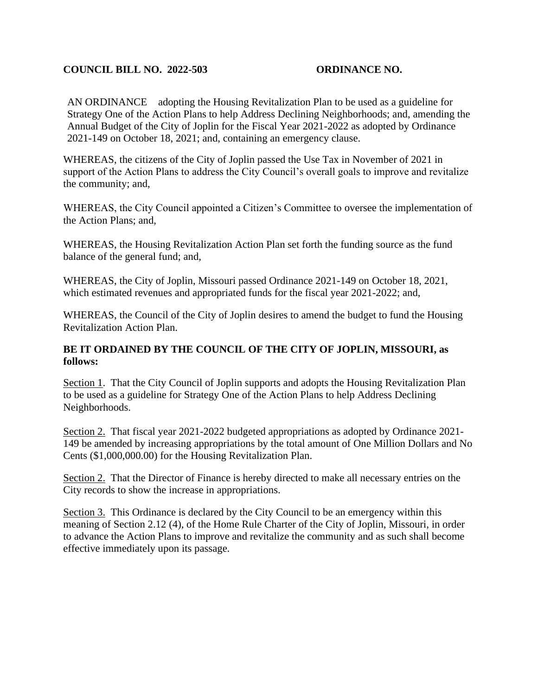## **COUNCIL BILL NO. 2022-503 ORDINANCE NO.**

AN ORDINANCE adopting the Housing Revitalization Plan to be used as a guideline for Strategy One of the Action Plans to help Address Declining Neighborhoods; and, amending the Annual Budget of the City of Joplin for the Fiscal Year 2021-2022 as adopted by Ordinance 2021-149 on October 18, 2021; and, containing an emergency clause.

WHEREAS, the citizens of the City of Joplin passed the Use Tax in November of 2021 in support of the Action Plans to address the City Council's overall goals to improve and revitalize the community; and,

WHEREAS, the City Council appointed a Citizen's Committee to oversee the implementation of the Action Plans; and,

WHEREAS, the Housing Revitalization Action Plan set forth the funding source as the fund balance of the general fund; and,

WHEREAS, the City of Joplin, Missouri passed Ordinance 2021-149 on October 18, 2021, which estimated revenues and appropriated funds for the fiscal year 2021-2022; and,

WHEREAS, the Council of the City of Joplin desires to amend the budget to fund the Housing Revitalization Action Plan.

## **BE IT ORDAINED BY THE COUNCIL OF THE CITY OF JOPLIN, MISSOURI, as follows:**

Section 1. That the City Council of Joplin supports and adopts the Housing Revitalization Plan to be used as a guideline for Strategy One of the Action Plans to help Address Declining Neighborhoods.

Section 2. That fiscal year 2021-2022 budgeted appropriations as adopted by Ordinance 2021-149 be amended by increasing appropriations by the total amount of One Million Dollars and No Cents (\$1,000,000.00) for the Housing Revitalization Plan.

Section 2. That the Director of Finance is hereby directed to make all necessary entries on the City records to show the increase in appropriations.

Section 3. This Ordinance is declared by the City Council to be an emergency within this meaning of Section 2.12 (4), of the Home Rule Charter of the City of Joplin, Missouri, in order to advance the Action Plans to improve and revitalize the community and as such shall become effective immediately upon its passage.